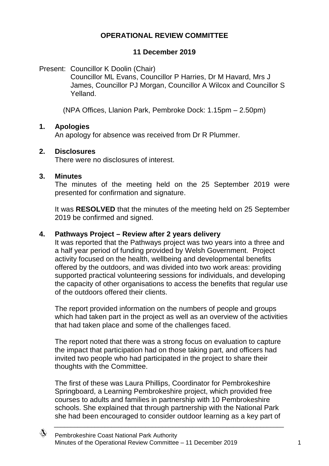### **OPERATIONAL REVIEW COMMITTEE**

#### **11 December 2019**

Present: Councillor K Doolin (Chair)

Councillor ML Evans, Councillor P Harries, Dr M Havard, Mrs J James, Councillor PJ Morgan, Councillor A Wilcox and Councillor S Yelland.

(NPA Offices, Llanion Park, Pembroke Dock: 1.15pm – 2.50pm)

#### **1. Apologies**

An apology for absence was received from Dr R Plummer.

#### **2. Disclosures**

There were no disclosures of interest.

#### **3. Minutes**

The minutes of the meeting held on the 25 September 2019 were presented for confirmation and signature.

It was **RESOLVED** that the minutes of the meeting held on 25 September 2019 be confirmed and signed.

#### **4. Pathways Project – Review after 2 years delivery**

It was reported that the Pathways project was two years into a three and a half year period of funding provided by Welsh Government. Project activity focused on the health, wellbeing and developmental benefits offered by the outdoors, and was divided into two work areas: providing supported practical volunteering sessions for individuals, and developing the capacity of other organisations to access the benefits that regular use of the outdoors offered their clients.

The report provided information on the numbers of people and groups which had taken part in the project as well as an overview of the activities that had taken place and some of the challenges faced.

The report noted that there was a strong focus on evaluation to capture the impact that participation had on those taking part, and officers had invited two people who had participated in the project to share their thoughts with the Committee.

The first of these was Laura Phillips, Coordinator for Pembrokeshire Springboard, a Learning Pembrokeshire project, which provided free courses to adults and families in partnership with 10 Pembrokeshire schools. She explained that through partnership with the National Park she had been encouraged to consider outdoor learning as a key part of

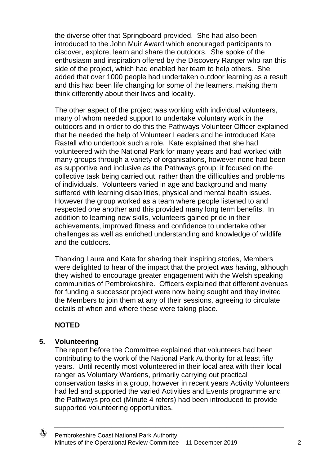the diverse offer that Springboard provided. She had also been introduced to the John Muir Award which encouraged participants to discover, explore, learn and share the outdoors. She spoke of the enthusiasm and inspiration offered by the Discovery Ranger who ran this side of the project, which had enabled her team to help others. She added that over 1000 people had undertaken outdoor learning as a result and this had been life changing for some of the learners, making them think differently about their lives and locality.

The other aspect of the project was working with individual volunteers, many of whom needed support to undertake voluntary work in the outdoors and in order to do this the Pathways Volunteer Officer explained that he needed the help of Volunteer Leaders and he introduced Kate Rastall who undertook such a role. Kate explained that she had volunteered with the National Park for many years and had worked with many groups through a variety of organisations, however none had been as supportive and inclusive as the Pathways group; it focused on the collective task being carried out, rather than the difficulties and problems of individuals. Volunteers varied in age and background and many suffered with learning disabilities, physical and mental health issues. However the group worked as a team where people listened to and respected one another and this provided many long term benefits. In addition to learning new skills, volunteers gained pride in their achievements, improved fitness and confidence to undertake other challenges as well as enriched understanding and knowledge of wildlife and the outdoors.

Thanking Laura and Kate for sharing their inspiring stories, Members were delighted to hear of the impact that the project was having, although they wished to encourage greater engagement with the Welsh speaking communities of Pembrokeshire. Officers explained that different avenues for funding a successor project were now being sought and they invited the Members to join them at any of their sessions, agreeing to circulate details of when and where these were taking place.

# **NOTED**

#### **5. Volunteering**

The report before the Committee explained that volunteers had been contributing to the work of the National Park Authority for at least fifty years. Until recently most volunteered in their local area with their local ranger as Voluntary Wardens, primarily carrying out practical conservation tasks in a group, however in recent years Activity Volunteers had led and supported the varied Activities and Events programme and the Pathways project (Minute 4 refers) had been introduced to provide supported volunteering opportunities.

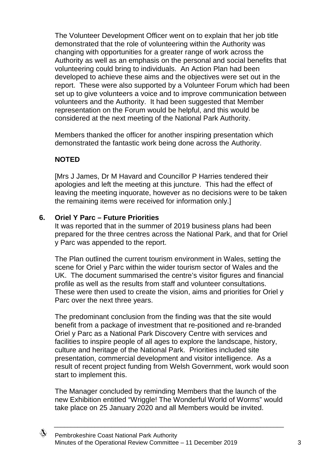The Volunteer Development Officer went on to explain that her job title demonstrated that the role of volunteering within the Authority was changing with opportunities for a greater range of work across the Authority as well as an emphasis on the personal and social benefits that volunteering could bring to individuals. An Action Plan had been developed to achieve these aims and the objectives were set out in the report. These were also supported by a Volunteer Forum which had been set up to give volunteers a voice and to improve communication between volunteers and the Authority. It had been suggested that Member representation on the Forum would be helpful, and this would be considered at the next meeting of the National Park Authority.

Members thanked the officer for another inspiring presentation which demonstrated the fantastic work being done across the Authority.

# **NOTED**

[Mrs J James, Dr M Havard and Councillor P Harries tendered their apologies and left the meeting at this juncture. This had the effect of leaving the meeting inquorate, however as no decisions were to be taken the remaining items were received for information only.]

### **6. Oriel Y Parc – Future Priorities**

It was reported that in the summer of 2019 business plans had been prepared for the three centres across the National Park, and that for Oriel y Parc was appended to the report.

The Plan outlined the current tourism environment in Wales, setting the scene for Oriel y Parc within the wider tourism sector of Wales and the UK. The document summarised the centre's visitor figures and financial profile as well as the results from staff and volunteer consultations. These were then used to create the vision, aims and priorities for Oriel y Parc over the next three years.

The predominant conclusion from the finding was that the site would benefit from a package of investment that re-positioned and re-branded Oriel y Parc as a National Park Discovery Centre with services and facilities to inspire people of all ages to explore the landscape, history, culture and heritage of the National Park. Priorities included site presentation, commercial development and visitor intelligence. As a result of recent project funding from Welsh Government, work would soon start to implement this.

The Manager concluded by reminding Members that the launch of the new Exhibition entitled "Wriggle! The Wonderful World of Worms" would take place on 25 January 2020 and all Members would be invited.